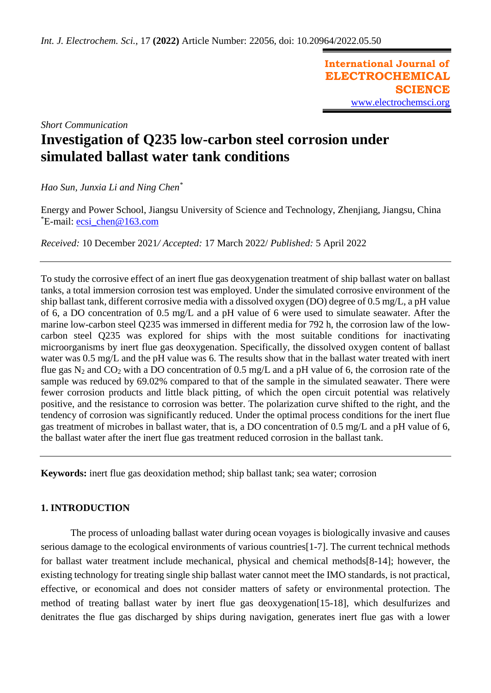**International Journal of ELECTROCHEMICAL SCIENCE** [www.electrochemsci.org](http://www.electrochemsci.org/)

# *Short Communication* **Investigation of Q235 low-carbon steel corrosion under simulated ballast water tank conditions**

*Hao Sun, Junxia Li and Ning Chen\**

Energy and Power School, Jiangsu University of Science and Technology, Zhenjiang, Jiangsu, China \*E-mail: [ecsi\\_chen@163.com](mailto:ecsi_chen@163.com)

*Received:* 10 December 2021*/ Accepted:* 17 March 2022/ *Published:* 5 April 2022

To study the corrosive effect of an inert flue gas deoxygenation treatment of ship ballast water on ballast tanks, a total immersion corrosion test was employed. Under the simulated corrosive environment of the ship ballast tank, different corrosive media with a dissolved oxygen (DO) degree of 0.5 mg/L, a pH value of 6, a DO concentration of 0.5 mg/L and a pH value of 6 were used to simulate seawater. After the marine low-carbon steel Q235 was immersed in different media for 792 h, the corrosion law of the lowcarbon steel Q235 was explored for ships with the most suitable conditions for inactivating microorganisms by inert flue gas deoxygenation. Specifically, the dissolved oxygen content of ballast water was 0.5 mg/L and the pH value was 6. The results show that in the ballast water treated with inert flue gas  $N_2$  and  $CO_2$  with a DO concentration of 0.5 mg/L and a pH value of 6, the corrosion rate of the sample was reduced by 69.02% compared to that of the sample in the simulated seawater. There were fewer corrosion products and little black pitting, of which the open circuit potential was relatively positive, and the resistance to corrosion was better. The polarization curve shifted to the right, and the tendency of corrosion was significantly reduced. Under the optimal process conditions for the inert flue gas treatment of microbes in ballast water, that is, a DO concentration of 0.5 mg/L and a pH value of 6, the ballast water after the inert flue gas treatment reduced corrosion in the ballast tank.

**Keywords:** inert flue gas deoxidation method; ship ballast tank; sea water; corrosion

# **1. INTRODUCTION**

The process of unloading ballast water during ocean voyages is biologically invasive and causes serious damage to the ecological environments of various countries[1-7]. The current technical methods for ballast water treatment include mechanical, physical and chemical methods[8-14]; however, the existing technology for treating single ship ballast water cannot meet the IMO standards, is not practical, effective, or economical and does not consider matters of safety or environmental protection. The method of treating ballast water by inert flue gas deoxygenation[15-18], which desulfurizes and denitrates the flue gas discharged by ships during navigation, generates inert flue gas with a lower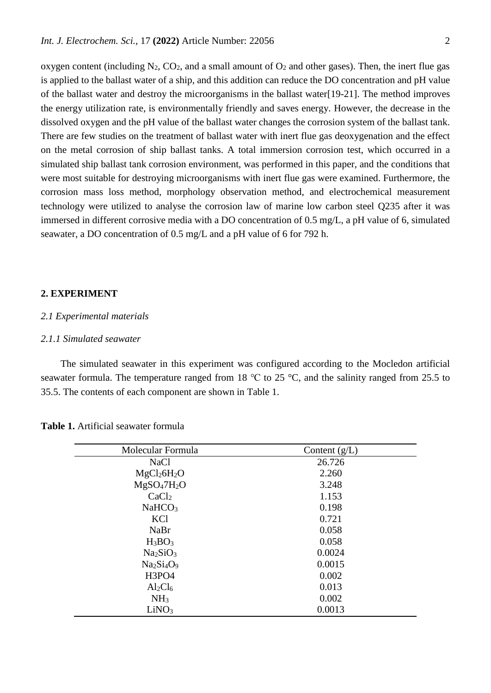oxygen content (including  $N_2$ ,  $CO_2$ , and a small amount of  $O_2$  and other gases). Then, the inert flue gas is applied to the ballast water of a ship, and this addition can reduce the DO concentration and pH value of the ballast water and destroy the microorganisms in the ballast water[19-21]. The method improves the energy utilization rate, is environmentally friendly and saves energy. However, the decrease in the dissolved oxygen and the pH value of the ballast water changes the corrosion system of the ballast tank. There are few studies on the treatment of ballast water with inert flue gas deoxygenation and the effect on the metal corrosion of ship ballast tanks. A total immersion corrosion test, which occurred in a simulated ship ballast tank corrosion environment, was performed in this paper, and the conditions that were most suitable for destroying microorganisms with inert flue gas were examined. Furthermore, the corrosion mass loss method, morphology observation method, and electrochemical measurement technology were utilized to analyse the corrosion law of marine low carbon steel Q235 after it was immersed in different corrosive media with a DO concentration of 0.5 mg/L, a pH value of 6, simulated seawater, a DO concentration of 0.5 mg/L and a pH value of 6 for 792 h.

#### **2. EXPERIMENT**

#### *2.1 Experimental materials*

#### *2.1.1 Simulated seawater*

The simulated seawater in this experiment was configured according to the Mocledon artificial seawater formula. The temperature ranged from 18 ℃ to 25 °C, and the salinity ranged from 25.5 to 35.5. The contents of each component are shown in Table 1.

| Molecular Formula                   | Content $(g/L)$ |
|-------------------------------------|-----------------|
| <b>NaCl</b>                         | 26.726          |
| MgCl <sub>2</sub> 6H <sub>2</sub> O | 2.260           |
| $MgSO_47H_2O$                       | 3.248           |
| CaCl <sub>2</sub>                   | 1.153           |
| NaHCO <sub>3</sub>                  | 0.198           |
| KCl                                 | 0.721           |
| <b>NaBr</b>                         | 0.058           |
| $H_3BO_3$                           | 0.058           |
| Na <sub>2</sub> SiO <sub>3</sub>    | 0.0024          |
| $Na2Si4O9$                          | 0.0015          |
| <b>H3PO4</b>                        | 0.002           |
| $Al_2Cl_6$                          | 0.013           |
| NH <sub>3</sub>                     | 0.002           |
| LiNO <sub>3</sub>                   | 0.0013          |

**Table 1.** Artificial seawater formula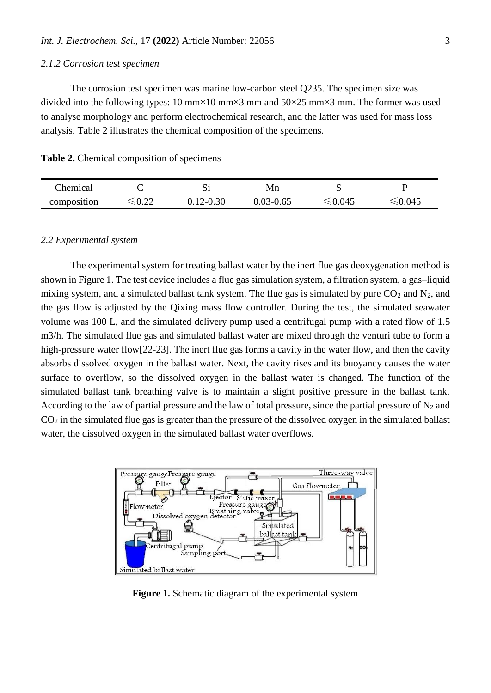#### *2.1.2 Corrosion test specimen*

The corrosion test specimen was marine low-carbon steel Q235. The specimen size was divided into the following types: 10 mm×10 mm×3 mm and  $50\times25$  mm×3 mm. The former was used to analyse morphology and perform electrochemical research, and the latter was used for mass loss analysis. Table 2 illustrates the chemical composition of the specimens.

#### **Table 2.** Chemical composition of specimens

| hemical:    |      | ມ    | Vln  |     |      |
|-------------|------|------|------|-----|------|
| composition | ∪.∠∠ | 0.30 | v.v. | 945 | .045 |

#### *2.2 Experimental system*

The experimental system for treating ballast water by the inert flue gas deoxygenation method is shown in Figure 1. The test device includes a flue gas simulation system, a filtration system, a gas–liquid mixing system, and a simulated ballast tank system. The flue gas is simulated by pure  $CO<sub>2</sub>$  and N<sub>2</sub>, and the gas flow is adjusted by the Qixing mass flow controller. During the test, the simulated seawater volume was 100 L, and the simulated delivery pump used a centrifugal pump with a rated flow of 1.5 m3/h. The simulated flue gas and simulated ballast water are mixed through the venturi tube to form a high-pressure water flow[22-23]. The inert flue gas forms a cavity in the water flow, and then the cavity absorbs dissolved oxygen in the ballast water. Next, the cavity rises and its buoyancy causes the water surface to overflow, so the dissolved oxygen in the ballast water is changed. The function of the simulated ballast tank breathing valve is to maintain a slight positive pressure in the ballast tank. According to the law of partial pressure and the law of total pressure, since the partial pressure of  $N_2$  and CO<sup>2</sup> in the simulated flue gas is greater than the pressure of the dissolved oxygen in the simulated ballast water, the dissolved oxygen in the simulated ballast water overflows.



Figure 1. Schematic diagram of the experimental system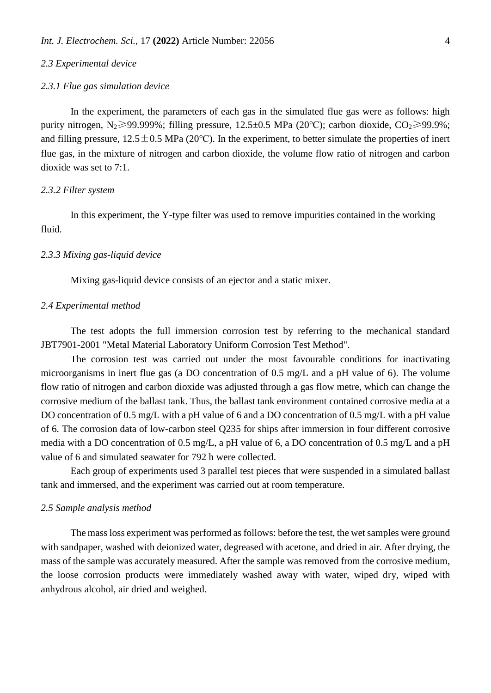## *2.3 Experimental device*

#### *2.3.1 Flue gas simulation device*

In the experiment, the parameters of each gas in the simulated flue gas were as follows: high purity nitrogen, N<sub>2</sub>≥99.999%; filling pressure, 12.5±0.5 MPa (20°C); carbon dioxide, CO<sub>2</sub>≥99.9%; and filling pressure,  $12.5 \pm 0.5$  MPa (20°C). In the experiment, to better simulate the properties of inert flue gas, in the mixture of nitrogen and carbon dioxide, the volume flow ratio of nitrogen and carbon dioxide was set to 7:1.

#### *2.3.2 Filter system*

In this experiment, the Y-type filter was used to remove impurities contained in the working fluid.

#### *2.3.3 Mixing gas-liquid device*

Mixing gas-liquid device consists of an ejector and a static mixer.

#### *2.4 Experimental method*

The test adopts the full immersion corrosion test by referring to the mechanical standard JBT7901-2001 "Metal Material Laboratory Uniform Corrosion Test Method".

The corrosion test was carried out under the most favourable conditions for inactivating microorganisms in inert flue gas (a DO concentration of 0.5 mg/L and a pH value of 6). The volume flow ratio of nitrogen and carbon dioxide was adjusted through a gas flow metre, which can change the corrosive medium of the ballast tank. Thus, the ballast tank environment contained corrosive media at a DO concentration of 0.5 mg/L with a pH value of 6 and a DO concentration of 0.5 mg/L with a pH value of 6. The corrosion data of low-carbon steel Q235 for ships after immersion in four different corrosive media with a DO concentration of 0.5 mg/L, a pH value of 6, a DO concentration of 0.5 mg/L and a pH value of 6 and simulated seawater for 792 h were collected.

Each group of experiments used 3 parallel test pieces that were suspended in a simulated ballast tank and immersed, and the experiment was carried out at room temperature.

#### *2.5 Sample analysis method*

The mass loss experiment was performed as follows: before the test, the wet samples were ground with sandpaper, washed with deionized water, degreased with acetone, and dried in air. After drying, the mass of the sample was accurately measured. After the sample was removed from the corrosive medium, the loose corrosion products were immediately washed away with water, wiped dry, wiped with anhydrous alcohol, air dried and weighed.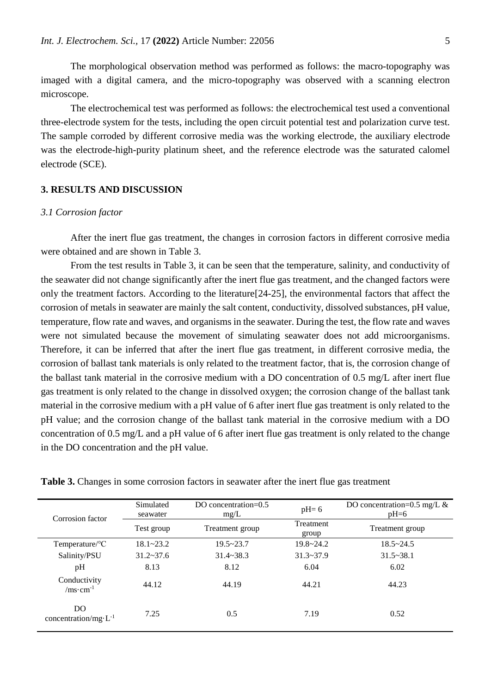The morphological observation method was performed as follows: the macro-topography was imaged with a digital camera, and the micro-topography was observed with a scanning electron microscope.

The electrochemical test was performed as follows: the electrochemical test used a conventional three-electrode system for the tests, including the open circuit potential test and polarization curve test. The sample corroded by different corrosive media was the working electrode, the auxiliary electrode was the electrode-high-purity platinum sheet, and the reference electrode was the saturated calomel electrode (SCE).

#### **3. RESULTS AND DISCUSSION**

#### *3.1 Corrosion factor*

After the inert flue gas treatment, the changes in corrosion factors in different corrosive media were obtained and are shown in Table 3.

From the test results in Table 3, it can be seen that the temperature, salinity, and conductivity of the seawater did not change significantly after the inert flue gas treatment, and the changed factors were only the treatment factors. According to the literature[24-25], the environmental factors that affect the corrosion of metals in seawater are mainly the salt content, conductivity, dissolved substances, pH value, temperature, flow rate and waves, and organisms in the seawater. During the test, the flow rate and waves were not simulated because the movement of simulating seawater does not add microorganisms. Therefore, it can be inferred that after the inert flue gas treatment, in different corrosive media, the corrosion of ballast tank materials is only related to the treatment factor, that is, the corrosion change of the ballast tank material in the corrosive medium with a DO concentration of 0.5 mg/L after inert flue gas treatment is only related to the change in dissolved oxygen; the corrosion change of the ballast tank material in the corrosive medium with a pH value of 6 after inert flue gas treatment is only related to the pH value; and the corrosion change of the ballast tank material in the corrosive medium with a DO concentration of 0.5 mg/L and a pH value of 6 after inert flue gas treatment is only related to the change in the DO concentration and the pH value.

| Corrosion factor                     | Simulated<br>seawater | DO concentration= $0.5$<br>mg/L | $pH=6$                    | DO concentration=0.5 mg/L $\&$<br>$pH=6$ |
|--------------------------------------|-----------------------|---------------------------------|---------------------------|------------------------------------------|
|                                      | Test group            | Treatment group                 | <b>Treatment</b><br>group | Treatment group                          |
| Temperature/ $\rm ^{o}C$             | $18.1 - 23.2$         | $19.5 - 23.7$                   | $19.8 - 24.2$             | $18.5 - 24.5$                            |
| Salinity/PSU                         | $31.2 \times 37.6$    | $31.4 - 38.3$                   | $31.3 - 37.9$             | $31.5 - 38.1$                            |
| pH                                   | 8.13                  | 8.12                            | 6.04                      | 6.02                                     |
| Conductivity<br>/ms·cm <sup>-1</sup> | 44.12                 | 44.19                           | 44.21                     | 44.23                                    |
| DO<br>concentration/mg· $L^{-1}$     | 7.25                  | 0.5                             | 7.19                      | 0.52                                     |

**Table 3.** Changes in some corrosion factors in seawater after the inert flue gas treatment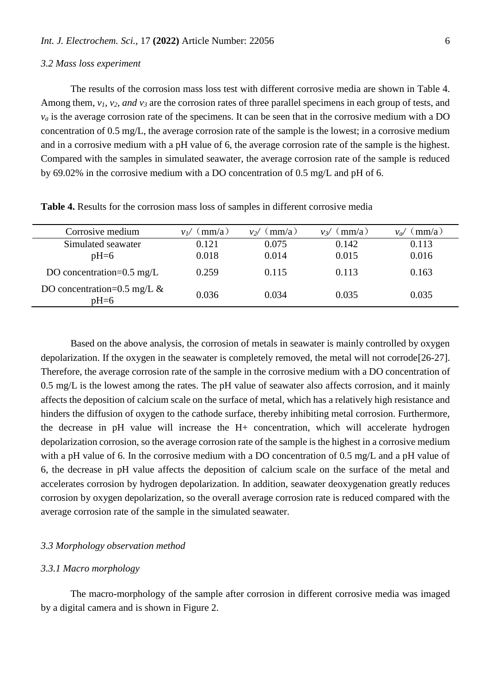#### *3.2 Mass loss experiment*

The results of the corrosion mass loss test with different corrosive media are shown in Table 4. Among them, *v1, v2, and v<sup>3</sup>* are the corrosion rates of three parallel specimens in each group of tests, and  $v_a$  is the average corrosion rate of the specimens. It can be seen that in the corrosive medium with a DO concentration of 0.5 mg/L, the average corrosion rate of the sample is the lowest; in a corrosive medium and in a corrosive medium with a pH value of 6, the average corrosion rate of the sample is the highest. Compared with the samples in simulated seawater, the average corrosion rate of the sample is reduced by 69.02% in the corrosive medium with a DO concentration of 0.5 mg/L and pH of 6.

| Corrosive medium                         | $\langle$ mm/a)<br>VU | $\langle$ mm/a)<br>V2/ | (mm/a)<br>$V_3/$ | (mm/a)<br>$V_{\alpha}$ |
|------------------------------------------|-----------------------|------------------------|------------------|------------------------|
| Simulated seawater                       | 0.121                 | 0.075                  | 0.142            | 0.113                  |
| $pH=6$                                   | 0.018                 | 0.014                  | 0.015            | 0.016                  |
| DO concentration= $0.5 \text{ mg/L}$     | 0.259                 | 0.115                  | 0.113            | 0.163                  |
| DO concentration=0.5 mg/L $\&$<br>$pH=6$ | 0.036                 | 0.034                  | 0.035            | 0.035                  |

**Table 4.** Results for the corrosion mass loss of samples in different corrosive media

Based on the above analysis, the corrosion of metals in seawater is mainly controlled by oxygen depolarization. If the oxygen in the seawater is completely removed, the metal will not corrode[26-27]. Therefore, the average corrosion rate of the sample in the corrosive medium with a DO concentration of 0.5 mg/L is the lowest among the rates. The pH value of seawater also affects corrosion, and it mainly affects the deposition of calcium scale on the surface of metal, which has a relatively high resistance and hinders the diffusion of oxygen to the cathode surface, thereby inhibiting metal corrosion. Furthermore, the decrease in pH value will increase the H+ concentration, which will accelerate hydrogen depolarization corrosion, so the average corrosion rate of the sample is the highest in a corrosive medium with a pH value of 6. In the corrosive medium with a DO concentration of 0.5 mg/L and a pH value of 6, the decrease in pH value affects the deposition of calcium scale on the surface of the metal and accelerates corrosion by hydrogen depolarization. In addition, seawater deoxygenation greatly reduces corrosion by oxygen depolarization, so the overall average corrosion rate is reduced compared with the average corrosion rate of the sample in the simulated seawater.

## *3.3 Morphology observation method*

#### *3.3.1 Macro morphology*

The macro-morphology of the sample after corrosion in different corrosive media was imaged by a digital camera and is shown in Figure 2.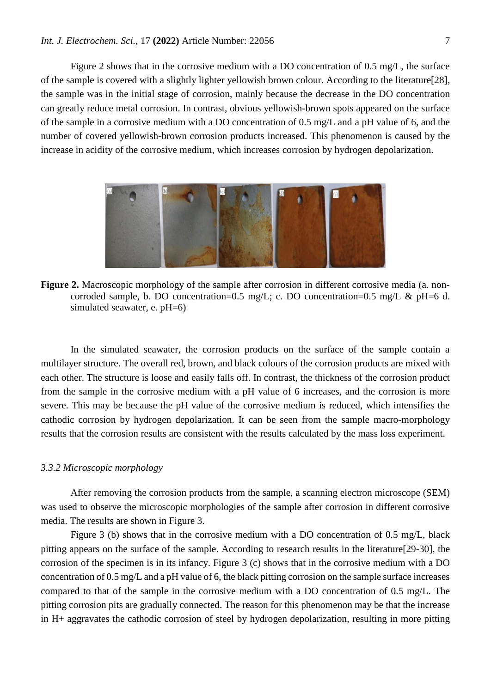Figure 2 shows that in the corrosive medium with a DO concentration of 0.5 mg/L, the surface of the sample is covered with a slightly lighter yellowish brown colour. According to the literature[28], the sample was in the initial stage of corrosion, mainly because the decrease in the DO concentration can greatly reduce metal corrosion. In contrast, obvious yellowish-brown spots appeared on the surface of the sample in a corrosive medium with a DO concentration of 0.5 mg/L and a pH value of 6, and the number of covered yellowish-brown corrosion products increased. This phenomenon is caused by the increase in acidity of the corrosive medium, which increases corrosion by hydrogen depolarization.



**Figure 2.** Macroscopic morphology of the sample after corrosion in different corrosive media (a. noncorroded sample, b. DO concentration=0.5 mg/L; c. DO concentration=0.5 mg/L & pH=6 d. simulated seawater, e. pH=6)

In the simulated seawater, the corrosion products on the surface of the sample contain a multilayer structure. The overall red, brown, and black colours of the corrosion products are mixed with each other. The structure is loose and easily falls off. In contrast, the thickness of the corrosion product from the sample in the corrosive medium with a pH value of 6 increases, and the corrosion is more severe. This may be because the pH value of the corrosive medium is reduced, which intensifies the cathodic corrosion by hydrogen depolarization. It can be seen from the sample macro-morphology results that the corrosion results are consistent with the results calculated by the mass loss experiment.

#### *3.3.2 Microscopic morphology*

After removing the corrosion products from the sample, a scanning electron microscope (SEM) was used to observe the microscopic morphologies of the sample after corrosion in different corrosive media. The results are shown in Figure 3.

Figure 3 (b) shows that in the corrosive medium with a DO concentration of 0.5 mg/L, black pitting appears on the surface of the sample. According to research results in the literature[29-30], the corrosion of the specimen is in its infancy. Figure 3 (c) shows that in the corrosive medium with a DO concentration of 0.5 mg/L and a pH value of 6, the black pitting corrosion on the sample surface increases compared to that of the sample in the corrosive medium with a DO concentration of 0.5 mg/L. The pitting corrosion pits are gradually connected. The reason for this phenomenon may be that the increase in H+ aggravates the cathodic corrosion of steel by hydrogen depolarization, resulting in more pitting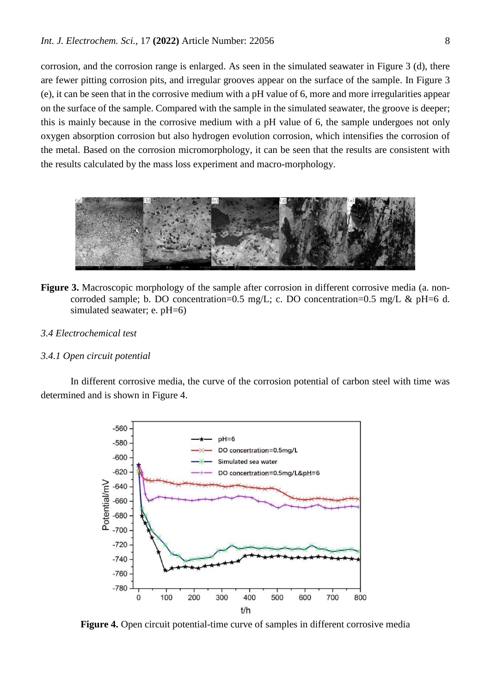corrosion, and the corrosion range is enlarged. As seen in the simulated seawater in Figure 3 (d), there are fewer pitting corrosion pits, and irregular grooves appear on the surface of the sample. In Figure 3 (e), it can be seen that in the corrosive medium with a pH value of 6, more and more irregularities appear on the surface of the sample. Compared with the sample in the simulated seawater, the groove is deeper; this is mainly because in the corrosive medium with a pH value of 6, the sample undergoes not only oxygen absorption corrosion but also hydrogen evolution corrosion, which intensifies the corrosion of the metal. Based on the corrosion micromorphology, it can be seen that the results are consistent with the results calculated by the mass loss experiment and macro-morphology.



- **Figure 3.** Macroscopic morphology of the sample after corrosion in different corrosive media (a. noncorroded sample; b. DO concentration=0.5 mg/L; c. DO concentration=0.5 mg/L & pH=6 d. simulated seawater; e. pH=6)
- *3.4 Electrochemical test*

## *3.4.1 Open circuit potential*

In different corrosive media, the curve of the corrosion potential of carbon steel with time was determined and is shown in Figure 4.



**Figure 4.** Open circuit potential-time curve of samples in different corrosive media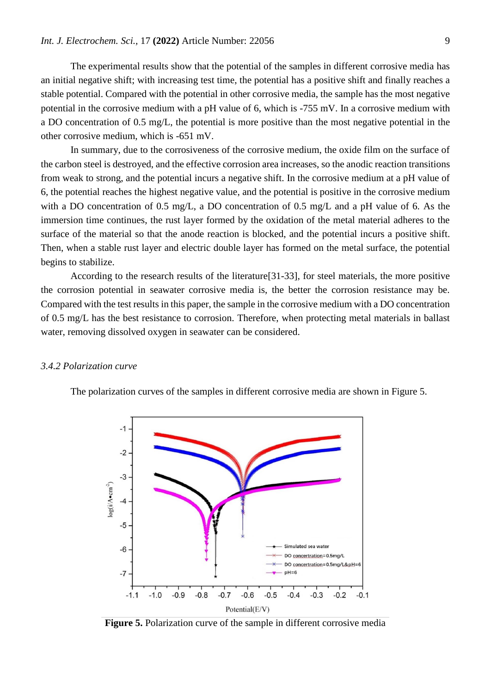The experimental results show that the potential of the samples in different corrosive media has an initial negative shift; with increasing test time, the potential has a positive shift and finally reaches a stable potential. Compared with the potential in other corrosive media, the sample has the most negative potential in the corrosive medium with a pH value of 6, which is -755 mV. In a corrosive medium with a DO concentration of 0.5 mg/L, the potential is more positive than the most negative potential in the other corrosive medium, which is -651 mV.

In summary, due to the corrosiveness of the corrosive medium, the oxide film on the surface of the carbon steel is destroyed, and the effective corrosion area increases, so the anodic reaction transitions from weak to strong, and the potential incurs a negative shift. In the corrosive medium at a pH value of 6, the potential reaches the highest negative value, and the potential is positive in the corrosive medium with a DO concentration of 0.5 mg/L, a DO concentration of 0.5 mg/L and a pH value of 6. As the immersion time continues, the rust layer formed by the oxidation of the metal material adheres to the surface of the material so that the anode reaction is blocked, and the potential incurs a positive shift. Then, when a stable rust layer and electric double layer has formed on the metal surface, the potential begins to stabilize.

According to the research results of the literature[31-33], for steel materials, the more positive the corrosion potential in seawater corrosive media is, the better the corrosion resistance may be. Compared with the test results in this paper, the sample in the corrosive medium with a DO concentration of 0.5 mg/L has the best resistance to corrosion. Therefore, when protecting metal materials in ballast water, removing dissolved oxygen in seawater can be considered.

#### *3.4.2 Polarization curve*





**Figure 5.** Polarization curve of the sample in different corrosive media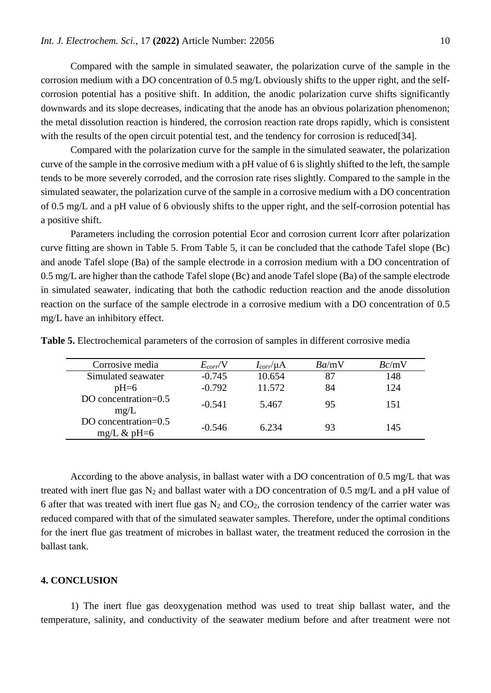Compared with the sample in simulated seawater, the polarization curve of the sample in the corrosion medium with a DO concentration of 0.5 mg/L obviously shifts to the upper right, and the selfcorrosion potential has a positive shift. In addition, the anodic polarization curve shifts significantly downwards and its slope decreases, indicating that the anode has an obvious polarization phenomenon; the metal dissolution reaction is hindered, the corrosion reaction rate drops rapidly, which is consistent with the results of the open circuit potential test, and the tendency for corrosion is reduced[34].

Compared with the polarization curve for the sample in the simulated seawater, the polarization curve of the sample in the corrosive medium with a pH value of 6 is slightly shifted to the left, the sample tends to be more severely corroded, and the corrosion rate rises slightly. Compared to the sample in the simulated seawater, the polarization curve of the sample in a corrosive medium with a DO concentration of 0.5 mg/L and a pH value of 6 obviously shifts to the upper right, and the self-corrosion potential has a positive shift.

Parameters including the corrosion potential Ecor and corrosion current Icorr after polarization curve fitting are shown in Table 5. From Table 5, it can be concluded that the cathode Tafel slope (Bc) and anode Tafel slope (Ba) of the sample electrode in a corrosion medium with a DO concentration of 0.5 mg/L are higher than the cathode Tafel slope (Bc) and anode Tafel slope (Ba) of the sample electrode in simulated seawater, indicating that both the cathodic reduction reaction and the anode dissolution reaction on the surface of the sample electrode in a corrosive medium with a DO concentration of 0.5 mg/L have an inhibitory effect.

| Corrosive media                        | $E_{corr}/V$ | $I_{corr}/\mu A$ | Ba/mV | Bc/mV |
|----------------------------------------|--------------|------------------|-------|-------|
| Simulated seawater                     | $-0.745$     | 10.654           | 87    | 148   |
| $pH=6$                                 | $-0.792$     | 11.572           | 84    | 124   |
| DO concentration=0.5<br>mg/L           | $-0.541$     | 5.467            | 95    | 151   |
| DO concentration=0.5<br>mg/L $\&$ pH=6 | $-0.546$     | 6.234            | 93    | 145   |

**Table 5.** Electrochemical parameters of the corrosion of samples in different corrosive media

According to the above analysis, in ballast water with a DO concentration of 0.5 mg/L that was treated with inert flue gas  $N_2$  and ballast water with a DO concentration of 0.5 mg/L and a pH value of 6 after that was treated with inert flue gas  $N_2$  and  $CO_2$ , the corrosion tendency of the carrier water was reduced compared with that of the simulated seawater samples. Therefore, under the optimal conditions for the inert flue gas treatment of microbes in ballast water, the treatment reduced the corrosion in the ballast tank.

## **4. CONCLUSION**

1) The inert flue gas deoxygenation method was used to treat ship ballast water, and the temperature, salinity, and conductivity of the seawater medium before and after treatment were not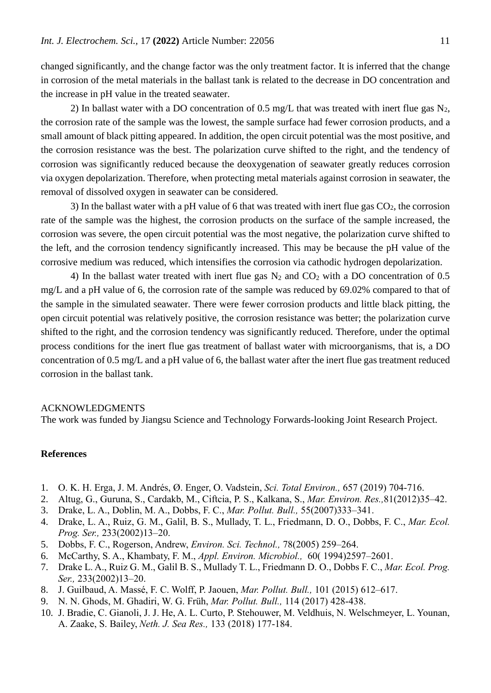changed significantly, and the change factor was the only treatment factor. It is inferred that the change in corrosion of the metal materials in the ballast tank is related to the decrease in DO concentration and the increase in pH value in the treated seawater.

2) In ballast water with a DO concentration of 0.5 mg/L that was treated with inert flue gas  $N_2$ , the corrosion rate of the sample was the lowest, the sample surface had fewer corrosion products, and a small amount of black pitting appeared. In addition, the open circuit potential was the most positive, and the corrosion resistance was the best. The polarization curve shifted to the right, and the tendency of corrosion was significantly reduced because the deoxygenation of seawater greatly reduces corrosion via oxygen depolarization. Therefore, when protecting metal materials against corrosion in seawater, the removal of dissolved oxygen in seawater can be considered.

3) In the ballast water with a pH value of 6 that was treated with inert flue gas  $CO<sub>2</sub>$ , the corrosion rate of the sample was the highest, the corrosion products on the surface of the sample increased, the corrosion was severe, the open circuit potential was the most negative, the polarization curve shifted to the left, and the corrosion tendency significantly increased. This may be because the pH value of the corrosive medium was reduced, which intensifies the corrosion via cathodic hydrogen depolarization.

4) In the ballast water treated with inert flue gas  $N_2$  and  $CO_2$  with a DO concentration of 0.5 mg/L and a pH value of 6, the corrosion rate of the sample was reduced by 69.02% compared to that of the sample in the simulated seawater. There were fewer corrosion products and little black pitting, the open circuit potential was relatively positive, the corrosion resistance was better; the polarization curve shifted to the right, and the corrosion tendency was significantly reduced. Therefore, under the optimal process conditions for the inert flue gas treatment of ballast water with microorganisms, that is, a DO concentration of 0.5 mg/L and a pH value of 6, the ballast water after the inert flue gas treatment reduced corrosion in the ballast tank.

#### ACKNOWLEDGMENTS

The work was funded by Jiangsu Science and Technology Forwards-looking Joint Research Project.

## **References**

- 1. O. K. H. Erga, J. M. Andrés, Ø. Enger, O. Vadstein, *Sci. Total Environ.,* 657 (2019) 704-716.
- 2. Altug, G., Guruna, S., Cardakb, M., Ciftcia, P. S., Kalkana, S., *Mar. Environ. Res.,*81(2012)35–42.
- 3. Drake, L. A., Doblin, M. A., Dobbs, F. C., *Mar. Pollut. Bull.,* 55(2007)333–341.
- 4. Drake, L. A., Ruiz, G. M., Galil, B. S., Mullady, T. L., Friedmann, D. O., Dobbs, F. C., *Mar. Ecol. Prog. Ser.,* 233(2002)13–20.
- 5. [Dobbs, F.](https://xueshu.baidu.com/s?wd=author%3A%28Dobbs%2C%20Fred%20C.%29%20&tn=SE_baiduxueshu_c1gjeupa&ie=utf-8&sc_f_para=sc_hilight%3Dperson) C., [Rogerson, Andrew,](https://xueshu.baidu.com/s?wd=author%3A%28Rogerson%2C%20Andrew%29%20&tn=SE_baiduxueshu_c1gjeupa&ie=utf-8&sc_f_para=sc_hilight%3Dperson) *Environ. Sci. Technol.,* 78(2005) 259–264.
- 6. McCarthy, S. A., Khambaty, F. M., *Appl. Environ. Microbiol.,* 60( 1994)2597–2601.
- 7. Drake L. A., Ruiz G. M., Galil B. S., Mullady T. L., Friedmann D. O., Dobbs F. C., *Mar. Ecol. Prog. Ser.,* 233(2002)13–20.
- 8. J. Guilbaud, A. Massé, F. C. Wolff, P. Jaouen, *Mar. Pollut. Bull.,* 101 (2015) 612–617.
- 9. N. N. Ghods, M. Ghadiri, W. G. Früh, *Mar. Pollut. Bull.,* 114 (2017) 428-438.
- 10. J. Bradie, C. Gianoli, J. J. He, A. L. Curto, P. Stehouwer, M. Veldhuis, N. Welschmeyer, L. Younan, A. Zaake, S. Bailey, *Neth. J. Sea Res.,* 133 (2018) 177-184.